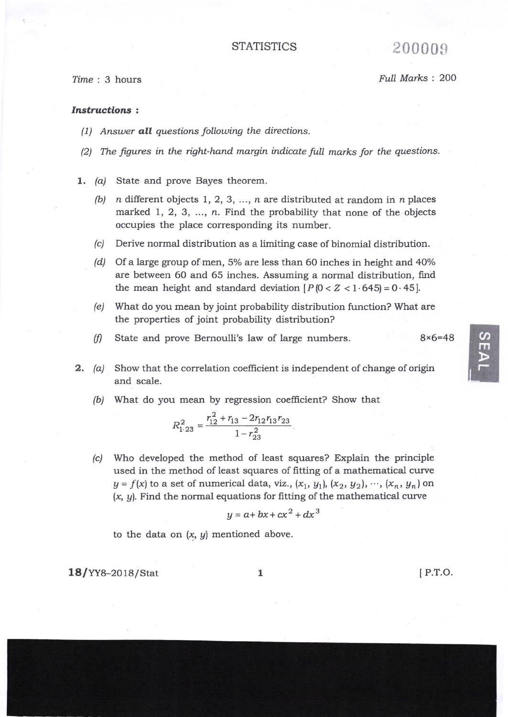Full Marks : 200

## Instructions :

- (1) Answer **all** questions following the directions.
- $(2)$  The figures in the right-hand margin indicate full marks for the questions.
- 1.  $(a)$ State and prove Bayes theorem.
	- (b)  $n$  different objects 1, 2, 3, ...,  $n$  are distributed at random in  $n$  places marked 1, 2, 3, ..., n. Find the probability that none of the objects occupies the place corresponding its number.
	- k) Derive normal distribution as a limiting case of binomial distribution.
	- (d) Of a large group of men, 5% are less than 60 inches in height and 40% are between 60 and 65 inches. Assuming a normal distribution, find the mean height and standard deviation  $[P(0 < Z < 1.645] = 0.45]$ .
	- What do you mean by joint probability distribution function? What are (e) the properties of joint probability distribution?
	- State and prove Bernoulli's law of large numbers. 8x6=48 (f)
- **2.** (a) Show that the correlation coefficient is independent of change of origin and scale.
	- $\Delta$  What do you mean by regression coefficient? Show that

$$
R_{1\cdot 23}^2 = \frac{r_{12}^2 + r_{13} - 2r_{12}r_{13}r_{23}}{1 - r_{23}^2}
$$

(c) Who developed the method of least squares? Explain the principle used in the method of least squares of fitting of a mathematical curve  $y = f(x)$  to a set of numerical data, viz.,  $(x_1, y_1)$ ,  $(x_2, y_2)$ ,  $\cdots$ ,  $(x_n, y_n)$  on  $(x, y)$ . Find the normal equations for fitting of the mathematical curve

$$
y = a + bx + cx^2 + dx^3
$$

to the data on  $(x, y)$  mentioned above.

18/YY8-201s/stat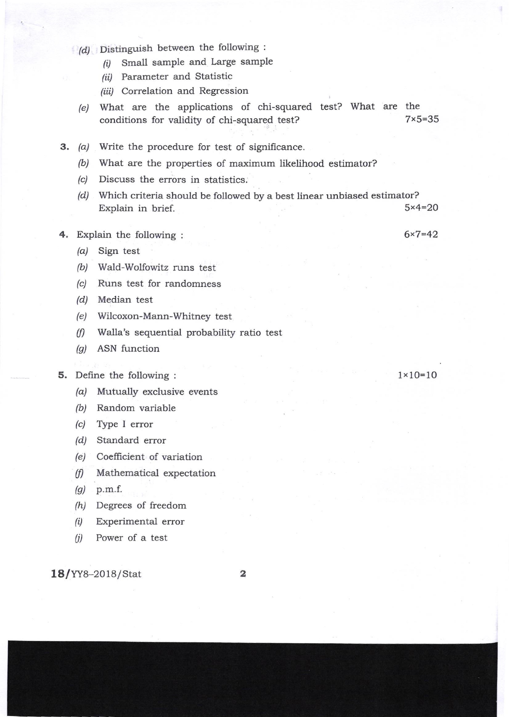- $(d)$  Distinguish between the following :
	- $(i)$  Small sample and Large sample
	- (ii) Parameter and Statistic
	- (iii) Correlation and Regression
	- (e) What are the applications of chi-squared test? What are the conditions for validity of chi-squared test?  $7 \times 5 = 35$
- 3. (a) Write the procedure for test of significance
	- (b) What are the properties of maximum likelihood estimator?
	- $(c)$ Discuss the errors in statistics.
	- $\left( d\right)$  . Which criteria should be followed by a best linear unbiased estimator? Explain in brief.  $5 \times 4 = 20$
- 4. Explain the following :
	- /a/ Sign test
	- (b) Wald-Wolfowitz runs test
	- (c) Runs test for randomness
	- (d/ Median test
	- (e) Wilcoxon-Mann-Whitney test
	- (f) Walla's sequential probability ratio test
	- (g) ASN function

## 5. Define the following :

- (a) Mutually exclusive events
- (b) Random variable
- $(c)$  Type I error
- /d/ Standard error
- (e) Coefticient of variation
- $(f)$  Mathematical expectation
- $(g)$  p.m.f.
- /h/ Degrees of freedom
- $(i)$  Experimental error
- $(ii)$  Power of a test

18/YY8-2018/stat

2

1x1O=10

6x7=42